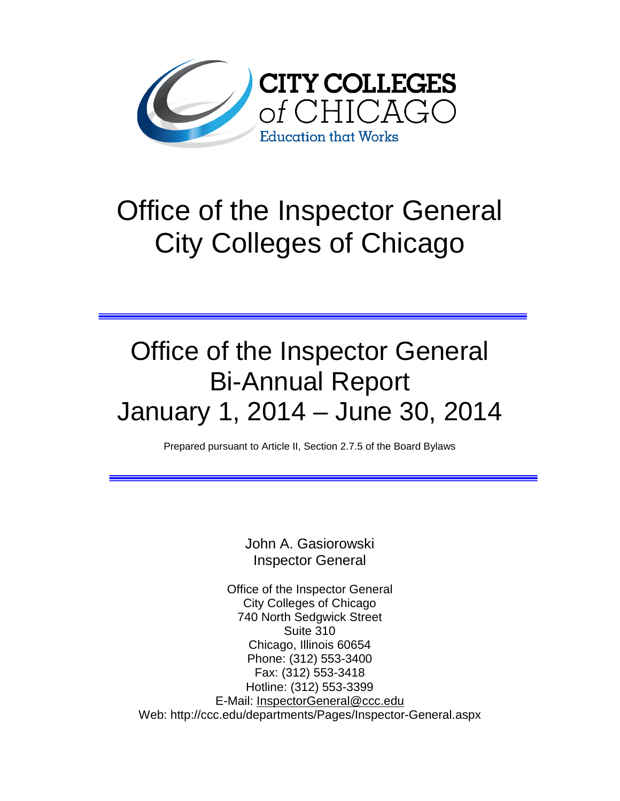

# Office of the Inspector General City Colleges of Chicago

## Office of the Inspector General Bi-Annual Report January 1, 2014 – June 30, 2014

Prepared pursuant to Article II, Section 2.7.5 of the Board Bylaws

John A. Gasiorowski Inspector General

Office of the Inspector General City Colleges of Chicago 740 North Sedgwick Street Suite 310 Chicago, Illinois 60654 Phone: (312) 553-3400 Fax: (312) 553-3418 Hotline: (312) 553-3399 E-Mail: [InspectorGeneral@ccc.edu](mailto:InspectorGeneral@ccc.edu) Web: http://ccc.edu/departments/Pages/Inspector-General.aspx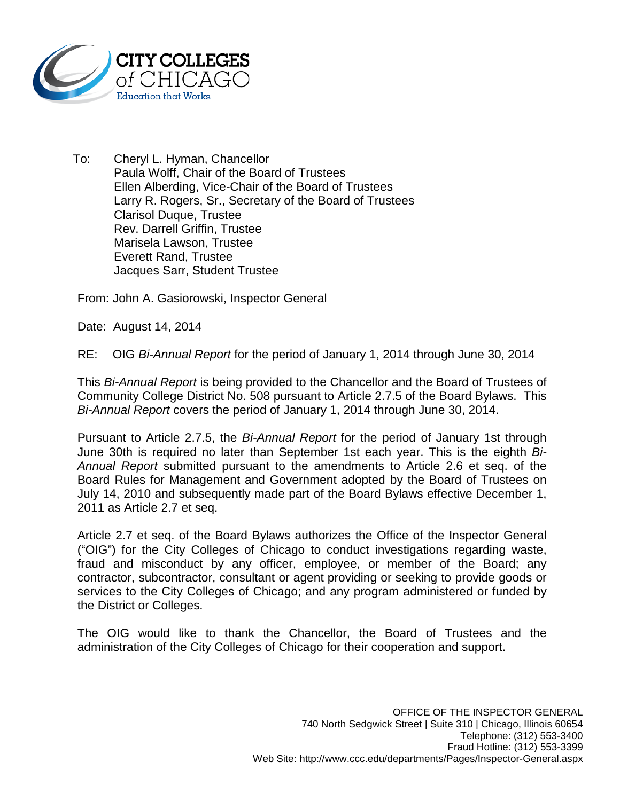

To: Cheryl L. Hyman, Chancellor Paula Wolff, Chair of the Board of Trustees Ellen Alberding, Vice-Chair of the Board of Trustees Larry R. Rogers, Sr., Secretary of the Board of Trustees Clarisol Duque, Trustee Rev. Darrell Griffin, Trustee Marisela Lawson, Trustee Everett Rand, Trustee Jacques Sarr, Student Trustee

From: John A. Gasiorowski, Inspector General

Date: August 14, 2014

RE: OIG *Bi-Annual Report* for the period of January 1, 2014 through June 30, 2014

This *Bi-Annual Report* is being provided to the Chancellor and the Board of Trustees of Community College District No. 508 pursuant to Article 2.7.5 of the Board Bylaws. This *Bi-Annual Report* covers the period of January 1, 2014 through June 30, 2014.

Pursuant to Article 2.7.5, the *Bi-Annual Report* for the period of January 1st through June 30th is required no later than September 1st each year. This is the eighth *Bi-Annual Report* submitted pursuant to the amendments to Article 2.6 et seq. of the Board Rules for Management and Government adopted by the Board of Trustees on July 14, 2010 and subsequently made part of the Board Bylaws effective December 1, 2011 as Article 2.7 et seq.

Article 2.7 et seq. of the Board Bylaws authorizes the Office of the Inspector General ("OIG") for the City Colleges of Chicago to conduct investigations regarding waste, fraud and misconduct by any officer, employee, or member of the Board; any contractor, subcontractor, consultant or agent providing or seeking to provide goods or services to the City Colleges of Chicago; and any program administered or funded by the District or Colleges.

The OIG would like to thank the Chancellor, the Board of Trustees and the administration of the City Colleges of Chicago for their cooperation and support.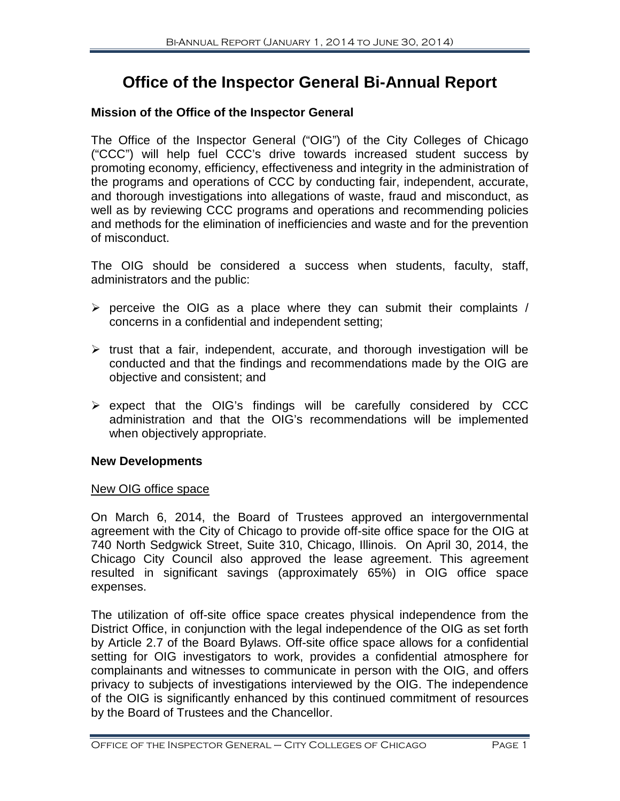### **Office of the Inspector General Bi-Annual Report**

#### **Mission of the Office of the Inspector General**

The Office of the Inspector General ("OIG") of the City Colleges of Chicago ("CCC") will help fuel CCC's drive towards increased student success by promoting economy, efficiency, effectiveness and integrity in the administration of the programs and operations of CCC by conducting fair, independent, accurate, and thorough investigations into allegations of waste, fraud and misconduct, as well as by reviewing CCC programs and operations and recommending policies and methods for the elimination of inefficiencies and waste and for the prevention of misconduct.

The OIG should be considered a success when students, faculty, staff, administrators and the public:

- $\triangleright$  perceive the OIG as a place where they can submit their complaints / concerns in a confidential and independent setting;
- $\triangleright$  trust that a fair, independent, accurate, and thorough investigation will be conducted and that the findings and recommendations made by the OIG are objective and consistent; and
- $\triangleright$  expect that the OIG's findings will be carefully considered by CCC administration and that the OIG's recommendations will be implemented when objectively appropriate.

#### **New Developments**

#### New OIG office space

On March 6, 2014, the Board of Trustees approved an intergovernmental agreement with the City of Chicago to provide off-site office space for the OIG at 740 North Sedgwick Street, Suite 310, Chicago, Illinois. On April 30, 2014, the Chicago City Council also approved the lease agreement. This agreement resulted in significant savings (approximately 65%) in OIG office space expenses.

The utilization of off-site office space creates physical independence from the District Office, in conjunction with the legal independence of the OIG as set forth by Article 2.7 of the Board Bylaws. Off-site office space allows for a confidential setting for OIG investigators to work, provides a confidential atmosphere for complainants and witnesses to communicate in person with the OIG, and offers privacy to subjects of investigations interviewed by the OIG. The independence of the OIG is significantly enhanced by this continued commitment of resources by the Board of Trustees and the Chancellor.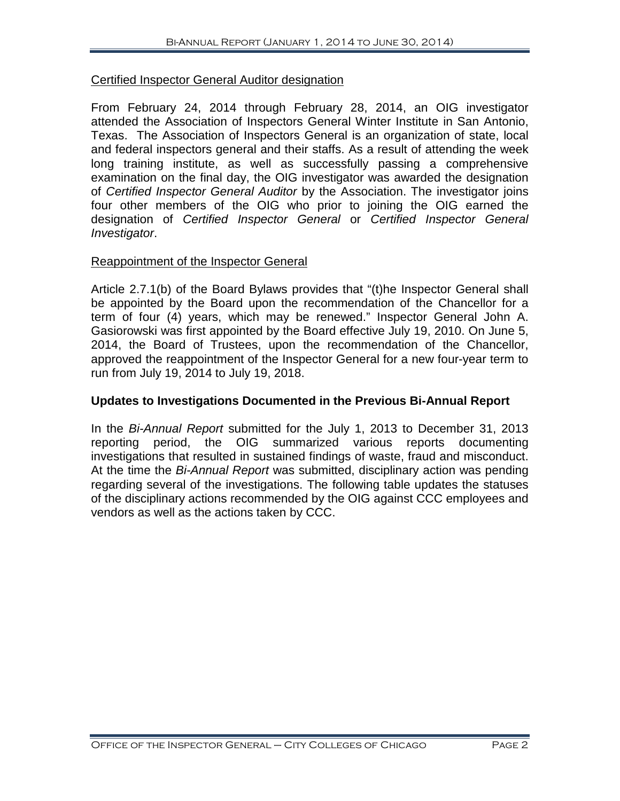#### Certified Inspector General Auditor designation

From February 24, 2014 through February 28, 2014, an OIG investigator attended the Association of Inspectors General Winter Institute in San Antonio, Texas. The Association of Inspectors General is an organization of state, local and federal inspectors general and their staffs. As a result of attending the week long training institute, as well as successfully passing a comprehensive examination on the final day, the OIG investigator was awarded the designation of *Certified Inspector General Auditor* by the Association. The investigator joins four other members of the OIG who prior to joining the OIG earned the designation of *Certified Inspector General* or *Certified Inspector General Investigator*.

#### Reappointment of the Inspector General

Article 2.7.1(b) of the Board Bylaws provides that "(t)he Inspector General shall be appointed by the Board upon the recommendation of the Chancellor for a term of four (4) years, which may be renewed." Inspector General John A. Gasiorowski was first appointed by the Board effective July 19, 2010. On June 5, 2014, the Board of Trustees, upon the recommendation of the Chancellor, approved the reappointment of the Inspector General for a new four-year term to run from July 19, 2014 to July 19, 2018.

#### **Updates to Investigations Documented in the Previous Bi-Annual Report**

In the *Bi-Annual Report* submitted for the July 1, 2013 to December 31, 2013 reporting period, the OIG summarized various reports documenting investigations that resulted in sustained findings of waste, fraud and misconduct. At the time the *Bi-Annual Report* was submitted, disciplinary action was pending regarding several of the investigations. The following table updates the statuses of the disciplinary actions recommended by the OIG against CCC employees and vendors as well as the actions taken by CCC.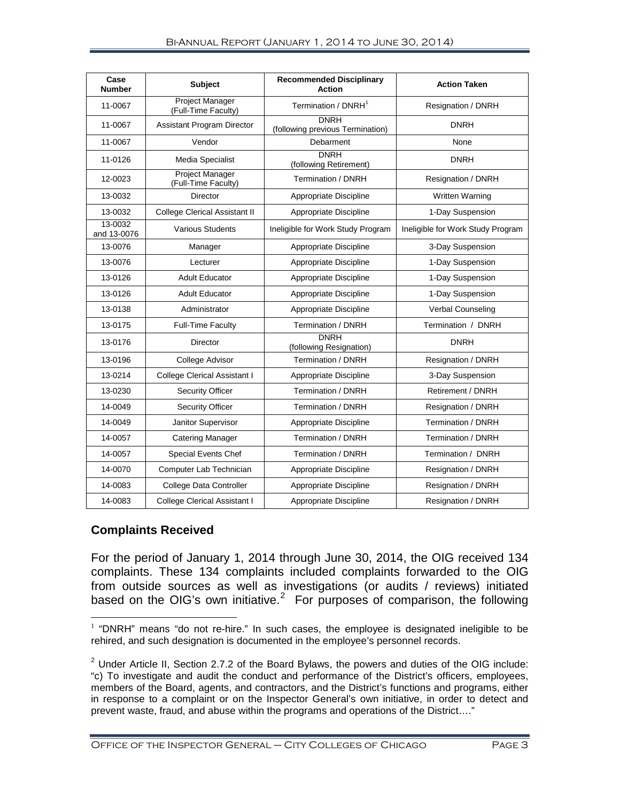| Case<br><b>Number</b>  | <b>Subject</b>                                | <b>Recommended Disciplinary</b><br><b>Action</b> | <b>Action Taken</b>               |
|------------------------|-----------------------------------------------|--------------------------------------------------|-----------------------------------|
| 11-0067                | <b>Project Manager</b><br>(Full-Time Faculty) | Termination / DNRH <sup>1</sup>                  | Resignation / DNRH                |
| 11-0067                | <b>Assistant Program Director</b>             | <b>DNRH</b><br>(following previous Termination)  | <b>DNRH</b>                       |
| 11-0067                | Vendor                                        | Debarment                                        | None                              |
| 11-0126                | Media Specialist                              | <b>DNRH</b><br>(following Retirement)            | <b>DNRH</b>                       |
| 12-0023                | Project Manager<br>(Full-Time Faculty)        | Termination / DNRH                               | Resignation / DNRH                |
| 13-0032                | Director                                      | Appropriate Discipline                           | <b>Written Warning</b>            |
| 13-0032                | <b>College Clerical Assistant II</b>          | Appropriate Discipline                           | 1-Day Suspension                  |
| 13-0032<br>and 13-0076 | <b>Various Students</b>                       | Ineligible for Work Study Program                | Ineligible for Work Study Program |
| 13-0076                | Manager                                       | Appropriate Discipline                           | 3-Day Suspension                  |
| 13-0076                | Lecturer                                      | Appropriate Discipline                           | 1-Day Suspension                  |
| 13-0126                | <b>Adult Educator</b>                         | Appropriate Discipline                           | 1-Day Suspension                  |
| 13-0126                | <b>Adult Educator</b>                         | Appropriate Discipline                           | 1-Day Suspension                  |
| 13-0138                | Administrator                                 | Appropriate Discipline                           | Verbal Counseling                 |
| 13-0175                | <b>Full-Time Faculty</b>                      | Termination / DNRH                               | Termination / DNRH                |
| 13-0176                | <b>Director</b>                               | <b>DNRH</b><br>(following Resignation)           | <b>DNRH</b>                       |
| 13-0196                | College Advisor                               | Termination / DNRH                               | Resignation / DNRH                |
| 13-0214                | <b>College Clerical Assistant I</b>           | Appropriate Discipline                           | 3-Day Suspension                  |
| 13-0230                | <b>Security Officer</b>                       | Termination / DNRH                               | Retirement / DNRH                 |
| 14-0049                | <b>Security Officer</b>                       | Termination / DNRH                               | Resignation / DNRH                |
| 14-0049                | Janitor Supervisor                            | Appropriate Discipline                           | Termination / DNRH                |
| 14-0057                | <b>Catering Manager</b>                       | Termination / DNRH                               | Termination / DNRH                |
| 14-0057                | <b>Special Events Chef</b>                    | Termination / DNRH                               | Termination / DNRH                |
| 14-0070                | Computer Lab Technician                       | Appropriate Discipline                           | Resignation / DNRH                |
| 14-0083                | College Data Controller                       | Appropriate Discipline                           | Resignation / DNRH                |
| 14-0083                | <b>College Clerical Assistant I</b>           | Appropriate Discipline                           | Resignation / DNRH                |

#### **Complaints Received**

For the period of January 1, 2014 through June 30, 2014, the OIG received 134 complaints. These 134 complaints included complaints forwarded to the OIG from outside sources as well as investigations (or audits / reviews) initiated based on the OIG's own initiative.<sup>[2](#page-4-1)</sup> For purposes of comparison, the following

<span id="page-4-0"></span> $1$  "DNRH" means "do not re-hire." In such cases, the employee is designated ineligible to be rehired, and such designation is documented in the employee's personnel records.  $\overline{a}$ 

<span id="page-4-1"></span> $2$  Under Article II, Section 2.7.2 of the Board Bylaws, the powers and duties of the OIG include: "c) To investigate and audit the conduct and performance of the District's officers, employees, members of the Board, agents, and contractors, and the District's functions and programs, either in response to a complaint or on the Inspector General's own initiative, in order to detect and prevent waste, fraud, and abuse within the programs and operations of the District…."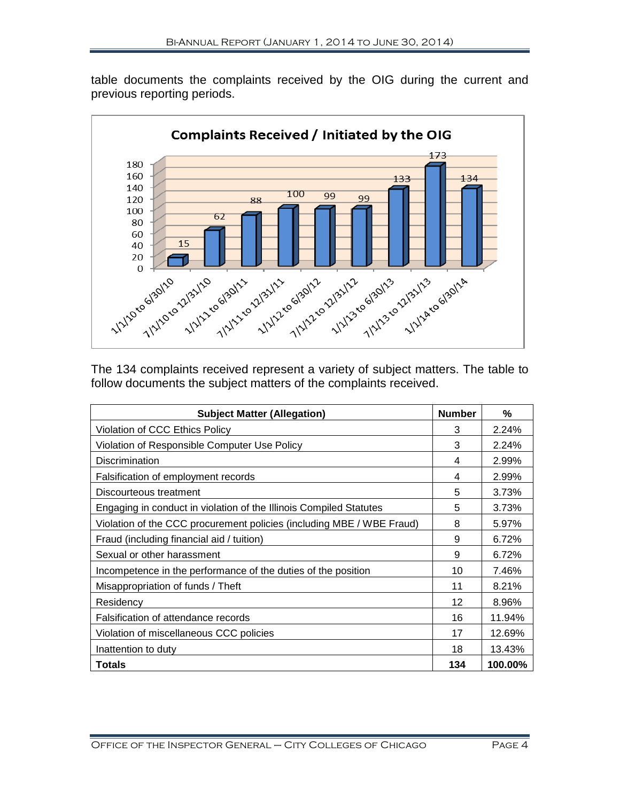table documents the complaints received by the OIG during the current and previous reporting periods.



The 134 complaints received represent a variety of subject matters. The table to follow documents the subject matters of the complaints received.

| <b>Subject Matter (Allegation)</b>                                    | <b>Number</b> | ℅       |
|-----------------------------------------------------------------------|---------------|---------|
| Violation of CCC Ethics Policy                                        | 3             | 2.24%   |
| Violation of Responsible Computer Use Policy                          | 3             | 2.24%   |
| <b>Discrimination</b>                                                 | 4             | 2.99%   |
| Falsification of employment records                                   | 4             | 2.99%   |
| Discourteous treatment                                                | 5             | 3.73%   |
| Engaging in conduct in violation of the Illinois Compiled Statutes    | 5             | 3.73%   |
| Violation of the CCC procurement policies (including MBE / WBE Fraud) | 8             | 5.97%   |
| Fraud (including financial aid / tuition)                             | 9             | 6.72%   |
| Sexual or other harassment                                            |               | 6.72%   |
| Incompetence in the performance of the duties of the position         | 10            | 7.46%   |
| Misappropriation of funds / Theft                                     | 11            | 8.21%   |
| Residency                                                             | 12            | 8.96%   |
| Falsification of attendance records                                   | 16            | 11.94%  |
| Violation of miscellaneous CCC policies                               | 17            | 12.69%  |
| Inattention to duty                                                   | 18            | 13.43%  |
| <b>Totals</b>                                                         | 134           | 100.00% |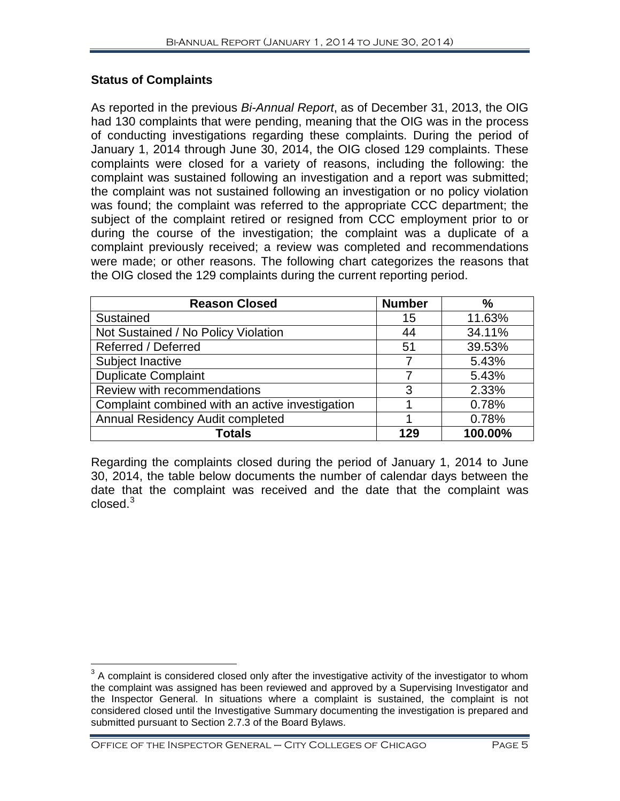#### **Status of Complaints**

As reported in the previous *Bi-Annual Report*, as of December 31, 2013, the OIG had 130 complaints that were pending, meaning that the OIG was in the process of conducting investigations regarding these complaints. During the period of January 1, 2014 through June 30, 2014, the OIG closed 129 complaints. These complaints were closed for a variety of reasons, including the following: the complaint was sustained following an investigation and a report was submitted; the complaint was not sustained following an investigation or no policy violation was found; the complaint was referred to the appropriate CCC department; the subject of the complaint retired or resigned from CCC employment prior to or during the course of the investigation; the complaint was a duplicate of a complaint previously received; a review was completed and recommendations were made; or other reasons. The following chart categorizes the reasons that the OIG closed the 129 complaints during the current reporting period.

| <b>Reason Closed</b>                            | <b>Number</b> | %       |
|-------------------------------------------------|---------------|---------|
| Sustained                                       | 15            | 11.63%  |
| Not Sustained / No Policy Violation             | 44            | 34.11%  |
| Referred / Deferred                             | 51            | 39.53%  |
| Subject Inactive                                |               | 5.43%   |
| <b>Duplicate Complaint</b>                      |               | 5.43%   |
| Review with recommendations                     | 3             | 2.33%   |
| Complaint combined with an active investigation |               | 0.78%   |
| <b>Annual Residency Audit completed</b>         |               | 0.78%   |
| <b>Totals</b>                                   | 129           | 100.00% |

Regarding the complaints closed during the period of January 1, 2014 to June 30, 2014, the table below documents the number of calendar days between the date that the complaint was received and the date that the complaint was closed. $3$ 

<span id="page-6-0"></span> $3$  A complaint is considered closed only after the investigative activity of the investigator to whom the complaint was assigned has been reviewed and approved by a Supervising Investigator and the Inspector General. In situations where a complaint is sustained, the complaint is not considered closed until the Investigative Summary documenting the investigation is prepared and submitted pursuant to Section 2.7.3 of the Board Bylaws.  $\overline{\phantom{a}}$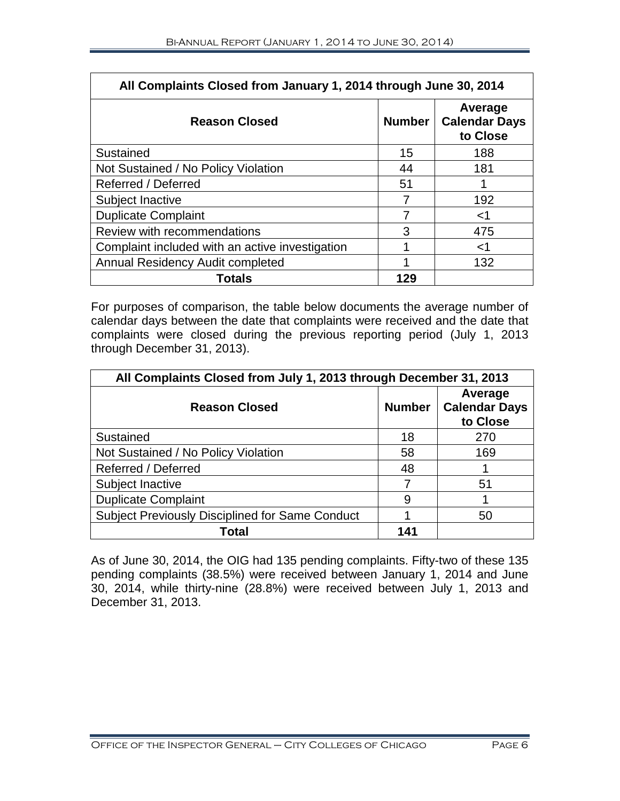| All Complaints Closed from January 1, 2014 through June 30, 2014 |               |                                             |  |
|------------------------------------------------------------------|---------------|---------------------------------------------|--|
| <b>Reason Closed</b>                                             | <b>Number</b> | Average<br><b>Calendar Days</b><br>to Close |  |
| Sustained                                                        | 15            | 188                                         |  |
| Not Sustained / No Policy Violation                              | 44            | 181                                         |  |
| Referred / Deferred                                              | 51            |                                             |  |
| Subject Inactive                                                 |               | 192                                         |  |
| <b>Duplicate Complaint</b>                                       |               | <1                                          |  |
| Review with recommendations                                      | 3             | 475                                         |  |
| Complaint included with an active investigation                  |               | ا>                                          |  |
| <b>Annual Residency Audit completed</b>                          |               | 132                                         |  |
| <b>Totals</b>                                                    | 129           |                                             |  |

For purposes of comparison, the table below documents the average number of calendar days between the date that complaints were received and the date that complaints were closed during the previous reporting period (July 1, 2013 through December 31, 2013).

| All Complaints Closed from July 1, 2013 through December 31, 2013 |               |                                             |  |
|-------------------------------------------------------------------|---------------|---------------------------------------------|--|
| <b>Reason Closed</b>                                              | <b>Number</b> | Average<br><b>Calendar Days</b><br>to Close |  |
| Sustained                                                         | 18            | 270                                         |  |
| Not Sustained / No Policy Violation                               | 58            | 169                                         |  |
| Referred / Deferred                                               | 48            |                                             |  |
| Subject Inactive                                                  |               | 51                                          |  |
| <b>Duplicate Complaint</b>                                        | 9             |                                             |  |
| <b>Subject Previously Disciplined for Same Conduct</b>            |               | 50                                          |  |
| Total                                                             | 141           |                                             |  |

As of June 30, 2014, the OIG had 135 pending complaints. Fifty-two of these 135 pending complaints (38.5%) were received between January 1, 2014 and June 30, 2014, while thirty-nine (28.8%) were received between July 1, 2013 and December 31, 2013.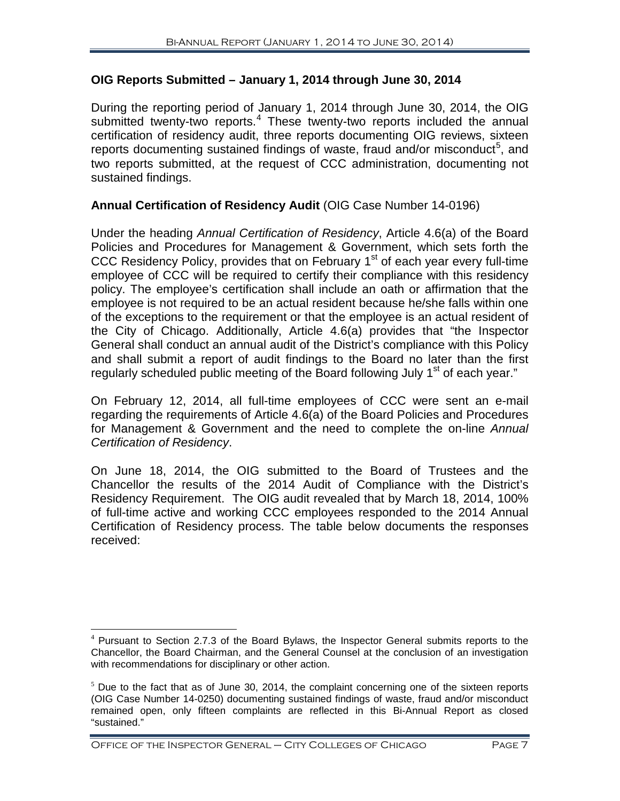#### **OIG Reports Submitted – January 1, 2014 through June 30, 2014**

During the reporting period of January 1, 2014 through June 30, 2014, the OIG submitted twenty-two reports.<sup>[4](#page-8-0)</sup> These twenty-two reports included the annual certification of residency audit, three reports documenting OIG reviews, sixteen reports documenting sustained findings of waste, fraud and/or misconduct<sup>[5](#page-8-1)</sup>, and two reports submitted, at the request of CCC administration, documenting not sustained findings.

#### **Annual Certification of Residency Audit** (OIG Case Number 14-0196)

Under the heading *Annual Certification of Residency*, Article 4.6(a) of the Board Policies and Procedures for Management & Government, which sets forth the CCC Residency Policy, provides that on February 1<sup>st</sup> of each year every full-time employee of CCC will be required to certify their compliance with this residency policy. The employee's certification shall include an oath or affirmation that the employee is not required to be an actual resident because he/she falls within one of the exceptions to the requirement or that the employee is an actual resident of the City of Chicago. Additionally, Article 4.6(a) provides that "the Inspector General shall conduct an annual audit of the District's compliance with this Policy and shall submit a report of audit findings to the Board no later than the first regularly scheduled public meeting of the Board following July 1<sup>st</sup> of each year."

On February 12, 2014, all full-time employees of CCC were sent an e-mail regarding the requirements of Article 4.6(a) of the Board Policies and Procedures for Management & Government and the need to complete the on-line *Annual Certification of Residency*.

On June 18, 2014, the OIG submitted to the Board of Trustees and the Chancellor the results of the 2014 Audit of Compliance with the District's Residency Requirement. The OIG audit revealed that by March 18, 2014, 100% of full-time active and working CCC employees responded to the 2014 Annual Certification of Residency process. The table below documents the responses received:

<span id="page-8-0"></span><sup>4</sup> Pursuant to Section 2.7.3 of the Board Bylaws, the Inspector General submits reports to the Chancellor, the Board Chairman, and the General Counsel at the conclusion of an investigation with recommendations for disciplinary or other action.  $\overline{a}$ 

<span id="page-8-1"></span> $<sup>5</sup>$  Due to the fact that as of June 30, 2014, the complaint concerning one of the sixteen reports</sup> (OIG Case Number 14-0250) documenting sustained findings of waste, fraud and/or misconduct remained open, only fifteen complaints are reflected in this Bi-Annual Report as closed "sustained."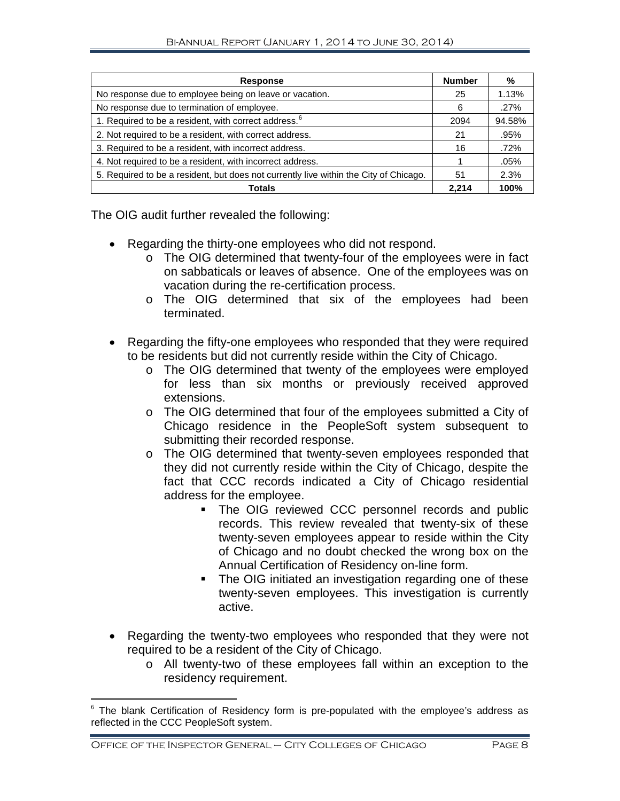| <b>Response</b>                                                                       | <b>Number</b> | %       |
|---------------------------------------------------------------------------------------|---------------|---------|
| No response due to employee being on leave or vacation.                               | 25            | 1.13%   |
| No response due to termination of employee.                                           | 6             | .27%    |
| 1. Required to be a resident, with correct address. <sup>6</sup>                      | 2094          | 94.58%  |
| 2. Not required to be a resident, with correct address.                               | 21            | .95%    |
| 3. Required to be a resident, with incorrect address.                                 | 16            | .72%    |
| 4. Not required to be a resident, with incorrect address.                             |               | $.05\%$ |
| 5. Required to be a resident, but does not currently live within the City of Chicago. | 51            | 2.3%    |
| <b>Totals</b>                                                                         | 2.214         | 100%    |

The OIG audit further revealed the following:

- Regarding the thirty-one employees who did not respond.
	- o The OIG determined that twenty-four of the employees were in fact on sabbaticals or leaves of absence. One of the employees was on vacation during the re-certification process.
	- o The OIG determined that six of the employees had been terminated.

• Regarding the fifty-one employees who responded that they were required to be residents but did not currently reside within the City of Chicago.

- o The OIG determined that twenty of the employees were employed for less than six months or previously received approved extensions.
- o The OIG determined that four of the employees submitted a City of Chicago residence in the PeopleSoft system subsequent to submitting their recorded response.
- o The OIG determined that twenty-seven employees responded that they did not currently reside within the City of Chicago, despite the fact that CCC records indicated a City of Chicago residential address for the employee.
	- **The OIG reviewed CCC personnel records and public** records. This review revealed that twenty-six of these twenty-seven employees appear to reside within the City of Chicago and no doubt checked the wrong box on the Annual Certification of Residency on-line form.
	- The OIG initiated an investigation regarding one of these twenty-seven employees. This investigation is currently active.
- Regarding the twenty-two employees who responded that they were not required to be a resident of the City of Chicago.
	- o All twenty-two of these employees fall within an exception to the residency requirement.

<span id="page-9-0"></span> $6$  The blank Certification of Residency form is pre-populated with the employee's address as reflected in the CCC PeopleSoft system.  $\overline{a}$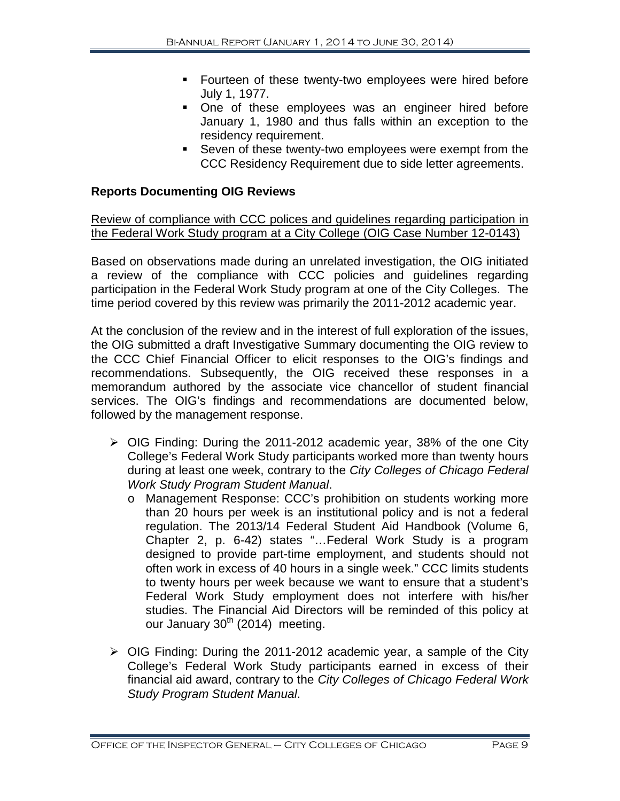- **Fourteen of these twenty-two employees were hired before** July 1, 1977.
- One of these employees was an engineer hired before January 1, 1980 and thus falls within an exception to the residency requirement.
- Seven of these twenty-two employees were exempt from the CCC Residency Requirement due to side letter agreements.

#### **Reports Documenting OIG Reviews**

#### Review of compliance with CCC polices and guidelines regarding participation in the Federal Work Study program at a City College (OIG Case Number 12-0143)

Based on observations made during an unrelated investigation, the OIG initiated a review of the compliance with CCC policies and guidelines regarding participation in the Federal Work Study program at one of the City Colleges. The time period covered by this review was primarily the 2011-2012 academic year.

At the conclusion of the review and in the interest of full exploration of the issues, the OIG submitted a draft Investigative Summary documenting the OIG review to the CCC Chief Financial Officer to elicit responses to the OIG's findings and recommendations. Subsequently, the OIG received these responses in a memorandum authored by the associate vice chancellor of student financial services. The OIG's findings and recommendations are documented below, followed by the management response.

- OIG Finding: During the 2011-2012 academic year, 38% of the one City College's Federal Work Study participants worked more than twenty hours during at least one week, contrary to the *City Colleges of Chicago Federal Work Study Program Student Manual*.
	- o Management Response: CCC's prohibition on students working more than 20 hours per week is an institutional policy and is not a federal regulation. The 2013/14 Federal Student Aid Handbook (Volume 6, Chapter 2, p. 6-42) states "…Federal Work Study is a program designed to provide part-time employment, and students should not often work in excess of 40 hours in a single week." CCC limits students to twenty hours per week because we want to ensure that a student's Federal Work Study employment does not interfere with his/her studies. The Financial Aid Directors will be reminded of this policy at our January  $30<sup>th</sup>$  (2014) meeting.
- $\triangleright$  OIG Finding: During the 2011-2012 academic year, a sample of the City College's Federal Work Study participants earned in excess of their financial aid award, contrary to the *City Colleges of Chicago Federal Work Study Program Student Manual*.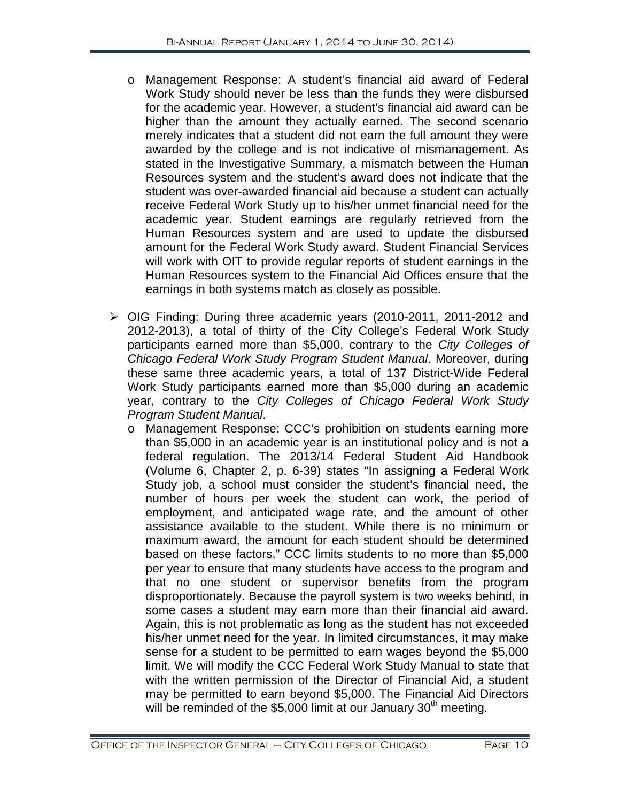- o Management Response: A student's financial aid award of Federal Work Study should never be less than the funds they were disbursed for the academic year. However, a student's financial aid award can be higher than the amount they actually earned. The second scenario merely indicates that a student did not earn the full amount they were awarded by the college and is not indicative of mismanagement. As stated in the Investigative Summary, a mismatch between the Human Resources system and the student's award does not indicate that the student was over-awarded financial aid because a student can actually receive Federal Work Study up to his/her unmet financial need for the academic year. Student earnings are regularly retrieved from the Human Resources system and are used to update the disbursed amount for the Federal Work Study award. Student Financial Services will work with OIT to provide regular reports of student earnings in the Human Resources system to the Financial Aid Offices ensure that the earnings in both systems match as closely as possible.
- OIG Finding: During three academic years (2010-2011, 2011-2012 and 2012-2013), a total of thirty of the City College's Federal Work Study participants earned more than \$5,000, contrary to the *City Colleges of Chicago Federal Work Study Program Student Manual*. Moreover, during these same three academic years, a total of 137 District-Wide Federal Work Study participants earned more than \$5,000 during an academic year, contrary to the *City Colleges of Chicago Federal Work Study Program Student Manual*.
	- o Management Response: CCC's prohibition on students earning more than \$5,000 in an academic year is an institutional policy and is not a federal regulation. The 2013/14 Federal Student Aid Handbook (Volume 6, Chapter 2, p. 6-39) states "In assigning a Federal Work Study job, a school must consider the student's financial need, the number of hours per week the student can work, the period of employment, and anticipated wage rate, and the amount of other assistance available to the student. While there is no minimum or maximum award, the amount for each student should be determined based on these factors." CCC limits students to no more than \$5,000 per year to ensure that many students have access to the program and that no one student or supervisor benefits from the program disproportionately. Because the payroll system is two weeks behind, in some cases a student may earn more than their financial aid award. Again, this is not problematic as long as the student has not exceeded his/her unmet need for the year. In limited circumstances, it may make sense for a student to be permitted to earn wages beyond the \$5,000 limit. We will modify the CCC Federal Work Study Manual to state that with the written permission of the Director of Financial Aid, a student may be permitted to earn beyond \$5,000. The Financial Aid Directors will be reminded of the \$5,000 limit at our January 30<sup>th</sup> meeting.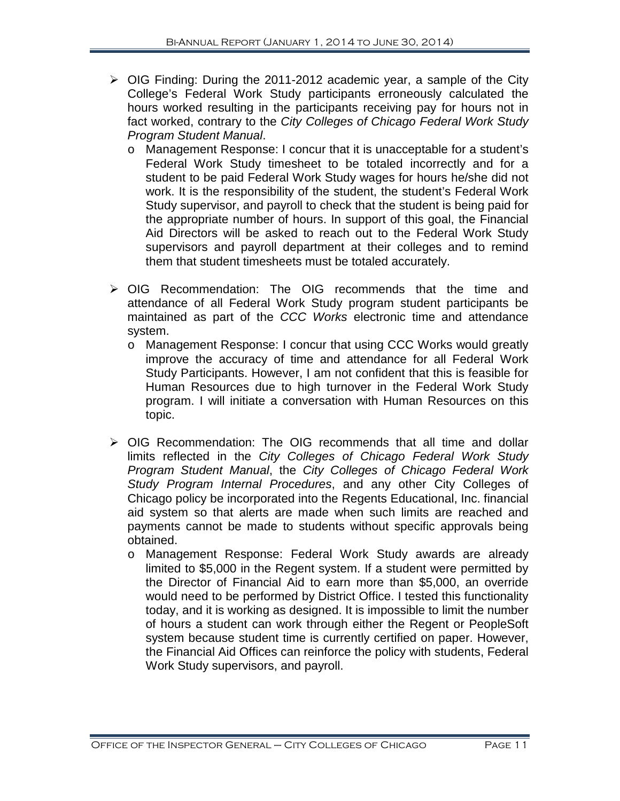- $\triangleright$  OIG Finding: During the 2011-2012 academic year, a sample of the City College's Federal Work Study participants erroneously calculated the hours worked resulting in the participants receiving pay for hours not in fact worked, contrary to the *City Colleges of Chicago Federal Work Study Program Student Manual*.
	- o Management Response: I concur that it is unacceptable for a student's Federal Work Study timesheet to be totaled incorrectly and for a student to be paid Federal Work Study wages for hours he/she did not work. It is the responsibility of the student, the student's Federal Work Study supervisor, and payroll to check that the student is being paid for the appropriate number of hours. In support of this goal, the Financial Aid Directors will be asked to reach out to the Federal Work Study supervisors and payroll department at their colleges and to remind them that student timesheets must be totaled accurately.
- OIG Recommendation: The OIG recommends that the time and attendance of all Federal Work Study program student participants be maintained as part of the *CCC Works* electronic time and attendance system.
	- o Management Response: I concur that using CCC Works would greatly improve the accuracy of time and attendance for all Federal Work Study Participants. However, I am not confident that this is feasible for Human Resources due to high turnover in the Federal Work Study program. I will initiate a conversation with Human Resources on this topic.
- OIG Recommendation: The OIG recommends that all time and dollar limits reflected in the *City Colleges of Chicago Federal Work Study Program Student Manual*, the *City Colleges of Chicago Federal Work Study Program Internal Procedures*, and any other City Colleges of Chicago policy be incorporated into the Regents Educational, Inc. financial aid system so that alerts are made when such limits are reached and payments cannot be made to students without specific approvals being obtained.
	- o Management Response: Federal Work Study awards are already limited to \$5,000 in the Regent system. If a student were permitted by the Director of Financial Aid to earn more than \$5,000, an override would need to be performed by District Office. I tested this functionality today, and it is working as designed. It is impossible to limit the number of hours a student can work through either the Regent or PeopleSoft system because student time is currently certified on paper. However, the Financial Aid Offices can reinforce the policy with students, Federal Work Study supervisors, and payroll.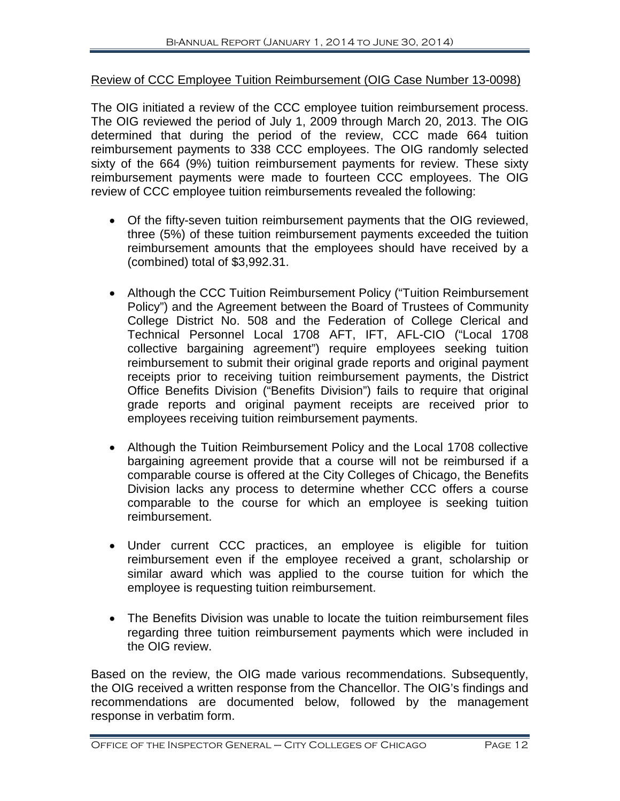#### Review of CCC Employee Tuition Reimbursement (OIG Case Number 13-0098)

The OIG initiated a review of the CCC employee tuition reimbursement process. The OIG reviewed the period of July 1, 2009 through March 20, 2013. The OIG determined that during the period of the review, CCC made 664 tuition reimbursement payments to 338 CCC employees. The OIG randomly selected sixty of the 664 (9%) tuition reimbursement payments for review. These sixty reimbursement payments were made to fourteen CCC employees. The OIG review of CCC employee tuition reimbursements revealed the following:

- Of the fifty-seven tuition reimbursement payments that the OIG reviewed, three (5%) of these tuition reimbursement payments exceeded the tuition reimbursement amounts that the employees should have received by a (combined) total of \$3,992.31.
- Although the CCC Tuition Reimbursement Policy ("Tuition Reimbursement Policy") and the Agreement between the Board of Trustees of Community College District No. 508 and the Federation of College Clerical and Technical Personnel Local 1708 AFT, IFT, AFL-CIO ("Local 1708 collective bargaining agreement") require employees seeking tuition reimbursement to submit their original grade reports and original payment receipts prior to receiving tuition reimbursement payments, the District Office Benefits Division ("Benefits Division") fails to require that original grade reports and original payment receipts are received prior to employees receiving tuition reimbursement payments.
- Although the Tuition Reimbursement Policy and the Local 1708 collective bargaining agreement provide that a course will not be reimbursed if a comparable course is offered at the City Colleges of Chicago, the Benefits Division lacks any process to determine whether CCC offers a course comparable to the course for which an employee is seeking tuition reimbursement.
- Under current CCC practices, an employee is eligible for tuition reimbursement even if the employee received a grant, scholarship or similar award which was applied to the course tuition for which the employee is requesting tuition reimbursement.
- The Benefits Division was unable to locate the tuition reimbursement files regarding three tuition reimbursement payments which were included in the OIG review.

Based on the review, the OIG made various recommendations. Subsequently, the OIG received a written response from the Chancellor. The OIG's findings and recommendations are documented below, followed by the management response in verbatim form.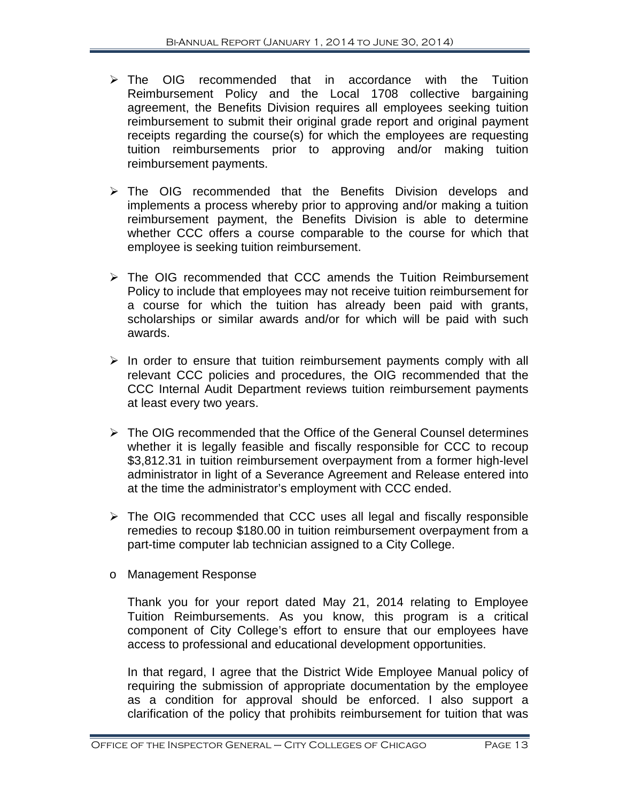- $\triangleright$  The OIG recommended that in accordance with the Tuition Reimbursement Policy and the Local 1708 collective bargaining agreement, the Benefits Division requires all employees seeking tuition reimbursement to submit their original grade report and original payment receipts regarding the course(s) for which the employees are requesting tuition reimbursements prior to approving and/or making tuition reimbursement payments.
- > The OIG recommended that the Benefits Division develops and implements a process whereby prior to approving and/or making a tuition reimbursement payment, the Benefits Division is able to determine whether CCC offers a course comparable to the course for which that employee is seeking tuition reimbursement.
- $\triangleright$  The OIG recommended that CCC amends the Tuition Reimbursement Policy to include that employees may not receive tuition reimbursement for a course for which the tuition has already been paid with grants, scholarships or similar awards and/or for which will be paid with such awards.
- $\triangleright$  In order to ensure that tuition reimbursement payments comply with all relevant CCC policies and procedures, the OIG recommended that the CCC Internal Audit Department reviews tuition reimbursement payments at least every two years.
- $\triangleright$  The OIG recommended that the Office of the General Counsel determines whether it is legally feasible and fiscally responsible for CCC to recoup \$3,812.31 in tuition reimbursement overpayment from a former high-level administrator in light of a Severance Agreement and Release entered into at the time the administrator's employment with CCC ended.
- $\triangleright$  The OIG recommended that CCC uses all legal and fiscally responsible remedies to recoup \$180.00 in tuition reimbursement overpayment from a part-time computer lab technician assigned to a City College.
- o Management Response

Thank you for your report dated May 21, 2014 relating to Employee Tuition Reimbursements. As you know, this program is a critical component of City College's effort to ensure that our employees have access to professional and educational development opportunities.

In that regard, I agree that the District Wide Employee Manual policy of requiring the submission of appropriate documentation by the employee as a condition for approval should be enforced. I also support a clarification of the policy that prohibits reimbursement for tuition that was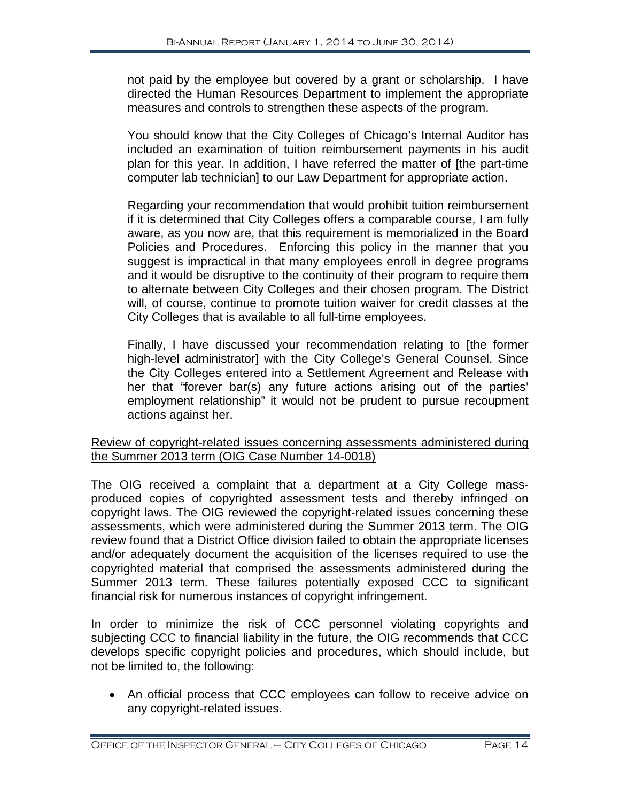not paid by the employee but covered by a grant or scholarship. I have directed the Human Resources Department to implement the appropriate measures and controls to strengthen these aspects of the program.

You should know that the City Colleges of Chicago's Internal Auditor has included an examination of tuition reimbursement payments in his audit plan for this year. In addition, I have referred the matter of [the part-time computer lab technician] to our Law Department for appropriate action.

Regarding your recommendation that would prohibit tuition reimbursement if it is determined that City Colleges offers a comparable course, I am fully aware, as you now are, that this requirement is memorialized in the Board Policies and Procedures. Enforcing this policy in the manner that you suggest is impractical in that many employees enroll in degree programs and it would be disruptive to the continuity of their program to require them to alternate between City Colleges and their chosen program. The District will, of course, continue to promote tuition waiver for credit classes at the City Colleges that is available to all full-time employees.

Finally, I have discussed your recommendation relating to [the former high-level administrator] with the City College's General Counsel. Since the City Colleges entered into a Settlement Agreement and Release with her that "forever bar(s) any future actions arising out of the parties' employment relationship" it would not be prudent to pursue recoupment actions against her.

#### Review of copyright-related issues concerning assessments administered during the Summer 2013 term (OIG Case Number 14-0018)

The OIG received a complaint that a department at a City College massproduced copies of copyrighted assessment tests and thereby infringed on copyright laws. The OIG reviewed the copyright-related issues concerning these assessments, which were administered during the Summer 2013 term. The OIG review found that a District Office division failed to obtain the appropriate licenses and/or adequately document the acquisition of the licenses required to use the copyrighted material that comprised the assessments administered during the Summer 2013 term. These failures potentially exposed CCC to significant financial risk for numerous instances of copyright infringement.

In order to minimize the risk of CCC personnel violating copyrights and subjecting CCC to financial liability in the future, the OIG recommends that CCC develops specific copyright policies and procedures, which should include, but not be limited to, the following:

• An official process that CCC employees can follow to receive advice on any copyright-related issues.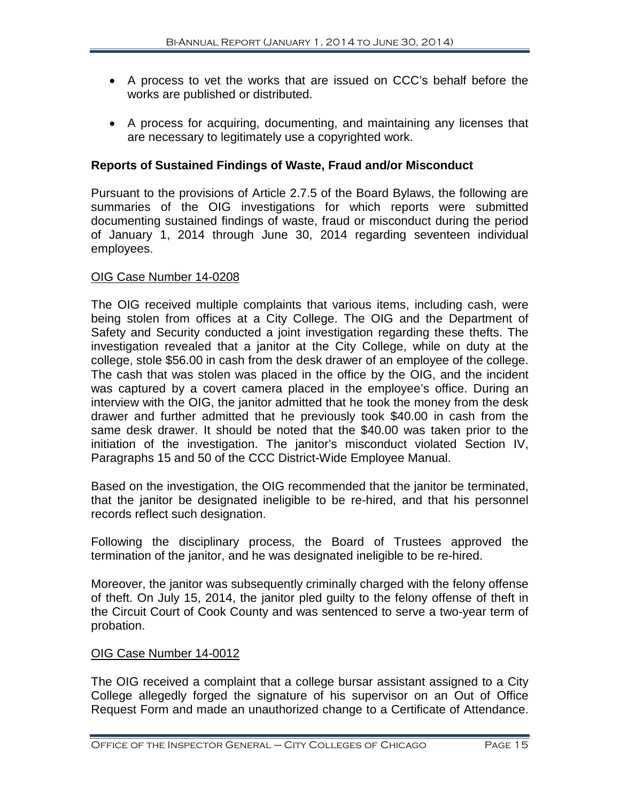- A process to vet the works that are issued on CCC's behalf before the works are published or distributed.
- A process for acquiring, documenting, and maintaining any licenses that are necessary to legitimately use a copyrighted work.

#### **Reports of Sustained Findings of Waste, Fraud and/or Misconduct**

Pursuant to the provisions of Article 2.7.5 of the Board Bylaws, the following are summaries of the OIG investigations for which reports were submitted documenting sustained findings of waste, fraud or misconduct during the period of January 1, 2014 through June 30, 2014 regarding seventeen individual employees.

#### OIG Case Number 14-0208

The OIG received multiple complaints that various items, including cash, were being stolen from offices at a City College. The OIG and the Department of Safety and Security conducted a joint investigation regarding these thefts. The investigation revealed that a janitor at the City College, while on duty at the college, stole \$56.00 in cash from the desk drawer of an employee of the college. The cash that was stolen was placed in the office by the OIG, and the incident was captured by a covert camera placed in the employee's office. During an interview with the OIG, the janitor admitted that he took the money from the desk drawer and further admitted that he previously took \$40.00 in cash from the same desk drawer. It should be noted that the \$40.00 was taken prior to the initiation of the investigation. The janitor's misconduct violated Section IV, Paragraphs 15 and 50 of the CCC District-Wide Employee Manual.

Based on the investigation, the OIG recommended that the janitor be terminated, that the janitor be designated ineligible to be re-hired, and that his personnel records reflect such designation.

Following the disciplinary process, the Board of Trustees approved the termination of the janitor, and he was designated ineligible to be re-hired.

Moreover, the janitor was subsequently criminally charged with the felony offense of theft. On July 15, 2014, the janitor pled guilty to the felony offense of theft in the Circuit Court of Cook County and was sentenced to serve a two-year term of probation.

#### OIG Case Number 14-0012

The OIG received a complaint that a college bursar assistant assigned to a City College allegedly forged the signature of his supervisor on an Out of Office Request Form and made an unauthorized change to a Certificate of Attendance.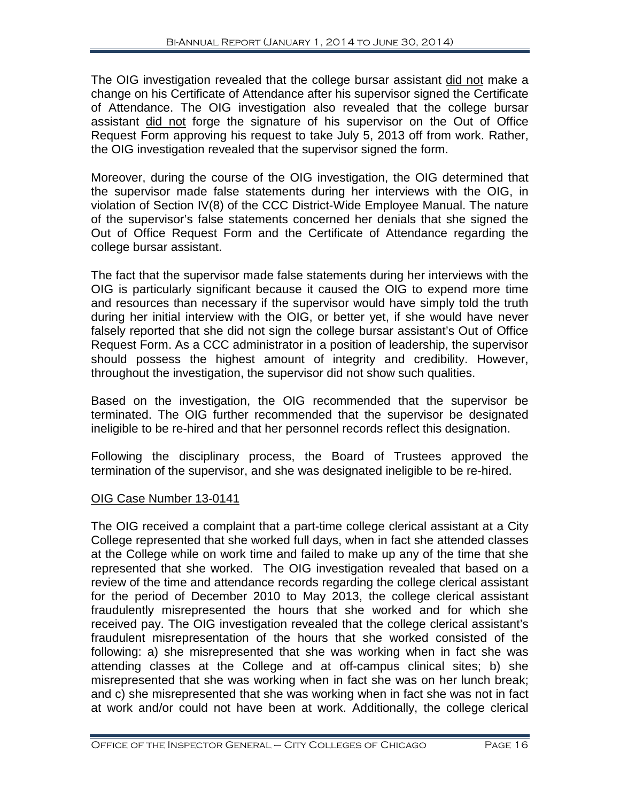The OIG investigation revealed that the college bursar assistant did not make a change on his Certificate of Attendance after his supervisor signed the Certificate of Attendance. The OIG investigation also revealed that the college bursar assistant did not forge the signature of his supervisor on the Out of Office Request Form approving his request to take July 5, 2013 off from work. Rather, the OIG investigation revealed that the supervisor signed the form.

Moreover, during the course of the OIG investigation, the OIG determined that the supervisor made false statements during her interviews with the OIG, in violation of Section IV(8) of the CCC District-Wide Employee Manual. The nature of the supervisor's false statements concerned her denials that she signed the Out of Office Request Form and the Certificate of Attendance regarding the college bursar assistant.

The fact that the supervisor made false statements during her interviews with the OIG is particularly significant because it caused the OIG to expend more time and resources than necessary if the supervisor would have simply told the truth during her initial interview with the OIG, or better yet, if she would have never falsely reported that she did not sign the college bursar assistant's Out of Office Request Form. As a CCC administrator in a position of leadership, the supervisor should possess the highest amount of integrity and credibility. However, throughout the investigation, the supervisor did not show such qualities.

Based on the investigation, the OIG recommended that the supervisor be terminated. The OIG further recommended that the supervisor be designated ineligible to be re-hired and that her personnel records reflect this designation.

Following the disciplinary process, the Board of Trustees approved the termination of the supervisor, and she was designated ineligible to be re-hired.

#### OIG Case Number 13-0141

The OIG received a complaint that a part-time college clerical assistant at a City College represented that she worked full days, when in fact she attended classes at the College while on work time and failed to make up any of the time that she represented that she worked. The OIG investigation revealed that based on a review of the time and attendance records regarding the college clerical assistant for the period of December 2010 to May 2013, the college clerical assistant fraudulently misrepresented the hours that she worked and for which she received pay. The OIG investigation revealed that the college clerical assistant's fraudulent misrepresentation of the hours that she worked consisted of the following: a) she misrepresented that she was working when in fact she was attending classes at the College and at off-campus clinical sites; b) she misrepresented that she was working when in fact she was on her lunch break; and c) she misrepresented that she was working when in fact she was not in fact at work and/or could not have been at work. Additionally, the college clerical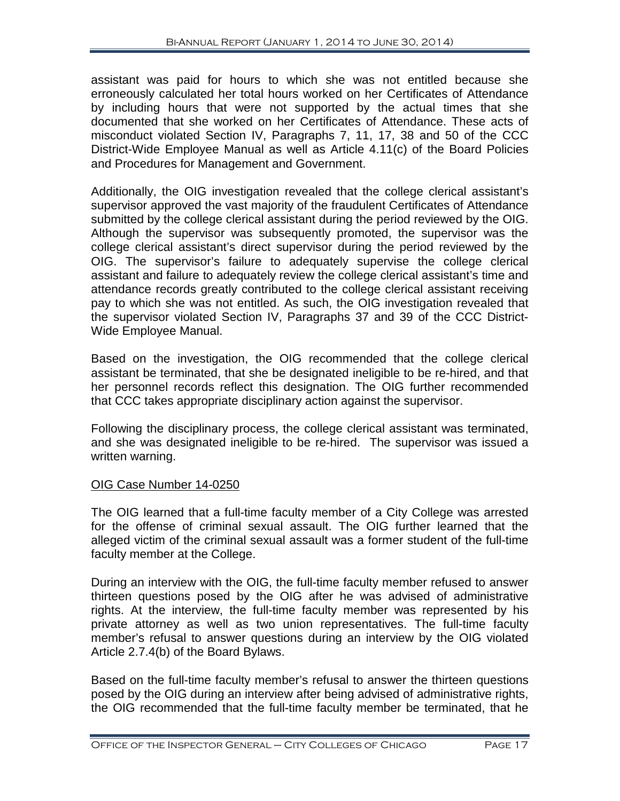assistant was paid for hours to which she was not entitled because she erroneously calculated her total hours worked on her Certificates of Attendance by including hours that were not supported by the actual times that she documented that she worked on her Certificates of Attendance. These acts of misconduct violated Section IV, Paragraphs 7, 11, 17, 38 and 50 of the CCC District-Wide Employee Manual as well as Article 4.11(c) of the Board Policies and Procedures for Management and Government.

Additionally, the OIG investigation revealed that the college clerical assistant's supervisor approved the vast majority of the fraudulent Certificates of Attendance submitted by the college clerical assistant during the period reviewed by the OIG. Although the supervisor was subsequently promoted, the supervisor was the college clerical assistant's direct supervisor during the period reviewed by the OIG. The supervisor's failure to adequately supervise the college clerical assistant and failure to adequately review the college clerical assistant's time and attendance records greatly contributed to the college clerical assistant receiving pay to which she was not entitled. As such, the OIG investigation revealed that the supervisor violated Section IV, Paragraphs 37 and 39 of the CCC District-Wide Employee Manual.

Based on the investigation, the OIG recommended that the college clerical assistant be terminated, that she be designated ineligible to be re-hired, and that her personnel records reflect this designation. The OIG further recommended that CCC takes appropriate disciplinary action against the supervisor.

Following the disciplinary process, the college clerical assistant was terminated, and she was designated ineligible to be re-hired. The supervisor was issued a written warning.

#### OIG Case Number 14-0250

The OIG learned that a full-time faculty member of a City College was arrested for the offense of criminal sexual assault. The OIG further learned that the alleged victim of the criminal sexual assault was a former student of the full-time faculty member at the College.

During an interview with the OIG, the full-time faculty member refused to answer thirteen questions posed by the OIG after he was advised of administrative rights. At the interview, the full-time faculty member was represented by his private attorney as well as two union representatives. The full-time faculty member's refusal to answer questions during an interview by the OIG violated Article 2.7.4(b) of the Board Bylaws.

Based on the full-time faculty member's refusal to answer the thirteen questions posed by the OIG during an interview after being advised of administrative rights, the OIG recommended that the full-time faculty member be terminated, that he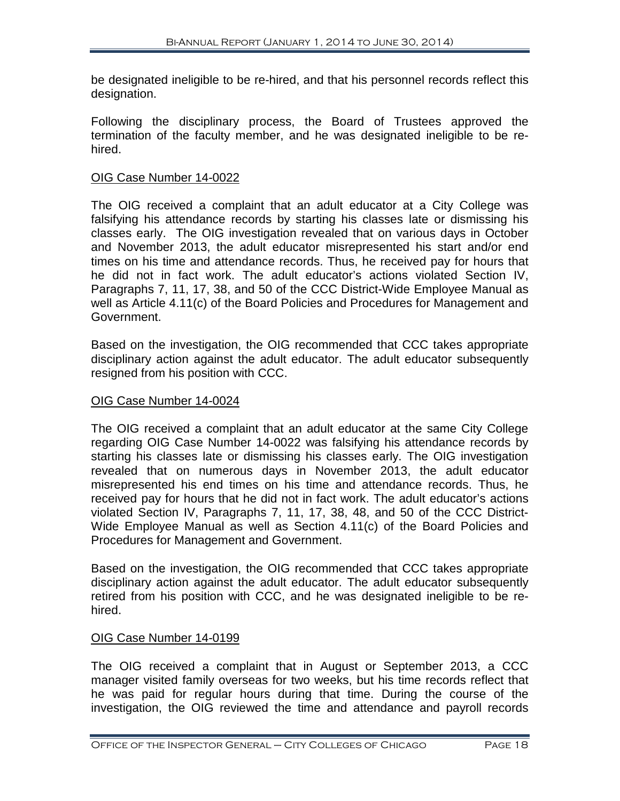be designated ineligible to be re-hired, and that his personnel records reflect this designation.

Following the disciplinary process, the Board of Trustees approved the termination of the faculty member, and he was designated ineligible to be rehired.

#### OIG Case Number 14-0022

The OIG received a complaint that an adult educator at a City College was falsifying his attendance records by starting his classes late or dismissing his classes early. The OIG investigation revealed that on various days in October and November 2013, the adult educator misrepresented his start and/or end times on his time and attendance records. Thus, he received pay for hours that he did not in fact work. The adult educator's actions violated Section IV, Paragraphs 7, 11, 17, 38, and 50 of the CCC District-Wide Employee Manual as well as Article 4.11(c) of the Board Policies and Procedures for Management and Government.

Based on the investigation, the OIG recommended that CCC takes appropriate disciplinary action against the adult educator. The adult educator subsequently resigned from his position with CCC.

#### OIG Case Number 14-0024

The OIG received a complaint that an adult educator at the same City College regarding OIG Case Number 14-0022 was falsifying his attendance records by starting his classes late or dismissing his classes early. The OIG investigation revealed that on numerous days in November 2013, the adult educator misrepresented his end times on his time and attendance records. Thus, he received pay for hours that he did not in fact work. The adult educator's actions violated Section IV, Paragraphs 7, 11, 17, 38, 48, and 50 of the CCC District-Wide Employee Manual as well as Section 4.11(c) of the Board Policies and Procedures for Management and Government.

Based on the investigation, the OIG recommended that CCC takes appropriate disciplinary action against the adult educator. The adult educator subsequently retired from his position with CCC, and he was designated ineligible to be rehired.

#### OIG Case Number 14-0199

The OIG received a complaint that in August or September 2013, a CCC manager visited family overseas for two weeks, but his time records reflect that he was paid for regular hours during that time. During the course of the investigation, the OIG reviewed the time and attendance and payroll records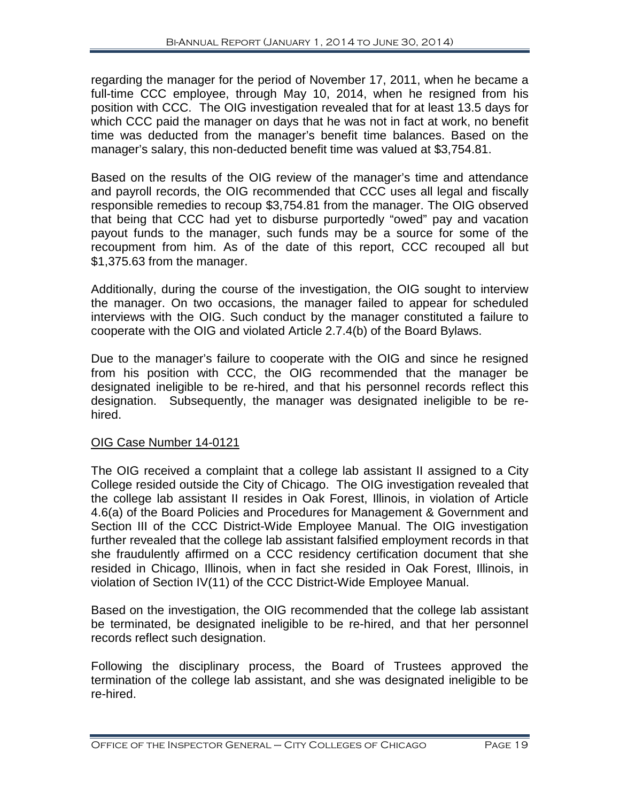regarding the manager for the period of November 17, 2011, when he became a full-time CCC employee, through May 10, 2014, when he resigned from his position with CCC. The OIG investigation revealed that for at least 13.5 days for which CCC paid the manager on days that he was not in fact at work, no benefit time was deducted from the manager's benefit time balances. Based on the manager's salary, this non-deducted benefit time was valued at \$3,754.81.

Based on the results of the OIG review of the manager's time and attendance and payroll records, the OIG recommended that CCC uses all legal and fiscally responsible remedies to recoup \$3,754.81 from the manager. The OIG observed that being that CCC had yet to disburse purportedly "owed" pay and vacation payout funds to the manager, such funds may be a source for some of the recoupment from him. As of the date of this report, CCC recouped all but \$1,375.63 from the manager.

Additionally, during the course of the investigation, the OIG sought to interview the manager. On two occasions, the manager failed to appear for scheduled interviews with the OIG. Such conduct by the manager constituted a failure to cooperate with the OIG and violated Article 2.7.4(b) of the Board Bylaws.

Due to the manager's failure to cooperate with the OIG and since he resigned from his position with CCC, the OIG recommended that the manager be designated ineligible to be re-hired, and that his personnel records reflect this designation. Subsequently, the manager was designated ineligible to be rehired.

#### OIG Case Number 14-0121

The OIG received a complaint that a college lab assistant II assigned to a City College resided outside the City of Chicago. The OIG investigation revealed that the college lab assistant II resides in Oak Forest, Illinois, in violation of Article 4.6(a) of the Board Policies and Procedures for Management & Government and Section III of the CCC District-Wide Employee Manual. The OIG investigation further revealed that the college lab assistant falsified employment records in that she fraudulently affirmed on a CCC residency certification document that she resided in Chicago, Illinois, when in fact she resided in Oak Forest, Illinois, in violation of Section IV(11) of the CCC District-Wide Employee Manual.

Based on the investigation, the OIG recommended that the college lab assistant be terminated, be designated ineligible to be re-hired, and that her personnel records reflect such designation.

Following the disciplinary process, the Board of Trustees approved the termination of the college lab assistant, and she was designated ineligible to be re-hired.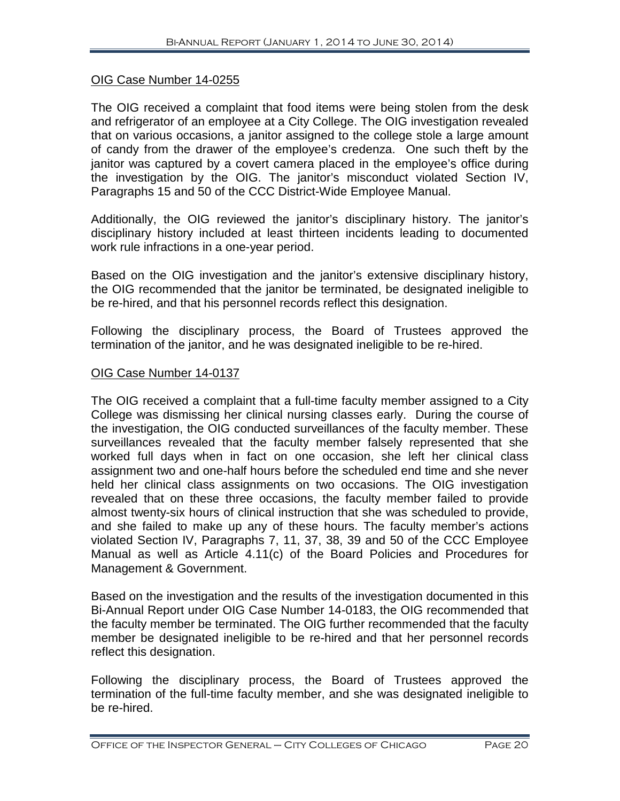#### OIG Case Number 14-0255

The OIG received a complaint that food items were being stolen from the desk and refrigerator of an employee at a City College. The OIG investigation revealed that on various occasions, a janitor assigned to the college stole a large amount of candy from the drawer of the employee's credenza. One such theft by the janitor was captured by a covert camera placed in the employee's office during the investigation by the OIG. The janitor's misconduct violated Section IV, Paragraphs 15 and 50 of the CCC District-Wide Employee Manual.

Additionally, the OIG reviewed the janitor's disciplinary history. The janitor's disciplinary history included at least thirteen incidents leading to documented work rule infractions in a one-year period.

Based on the OIG investigation and the janitor's extensive disciplinary history, the OIG recommended that the janitor be terminated, be designated ineligible to be re-hired, and that his personnel records reflect this designation.

Following the disciplinary process, the Board of Trustees approved the termination of the janitor, and he was designated ineligible to be re-hired.

#### OIG Case Number 14-0137

The OIG received a complaint that a full-time faculty member assigned to a City College was dismissing her clinical nursing classes early. During the course of the investigation, the OIG conducted surveillances of the faculty member. These surveillances revealed that the faculty member falsely represented that she worked full days when in fact on one occasion, she left her clinical class assignment two and one-half hours before the scheduled end time and she never held her clinical class assignments on two occasions. The OIG investigation revealed that on these three occasions, the faculty member failed to provide almost twenty-six hours of clinical instruction that she was scheduled to provide, and she failed to make up any of these hours. The faculty member's actions violated Section IV, Paragraphs 7, 11, 37, 38, 39 and 50 of the CCC Employee Manual as well as Article 4.11(c) of the Board Policies and Procedures for Management & Government.

Based on the investigation and the results of the investigation documented in this Bi-Annual Report under OIG Case Number 14-0183, the OIG recommended that the faculty member be terminated. The OIG further recommended that the faculty member be designated ineligible to be re-hired and that her personnel records reflect this designation.

Following the disciplinary process, the Board of Trustees approved the termination of the full-time faculty member, and she was designated ineligible to be re-hired.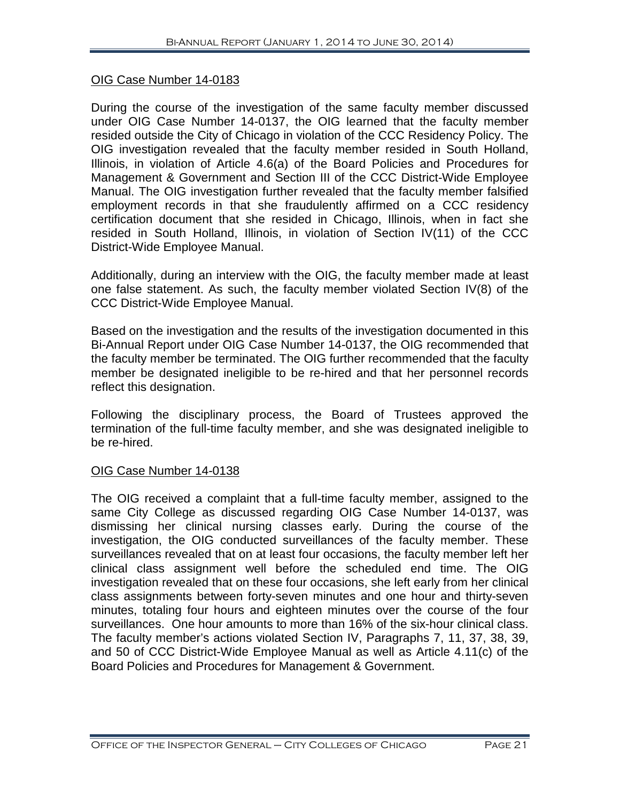#### OIG Case Number 14-0183

During the course of the investigation of the same faculty member discussed under OIG Case Number 14-0137, the OIG learned that the faculty member resided outside the City of Chicago in violation of the CCC Residency Policy. The OIG investigation revealed that the faculty member resided in South Holland, Illinois, in violation of Article 4.6(a) of the Board Policies and Procedures for Management & Government and Section III of the CCC District-Wide Employee Manual. The OIG investigation further revealed that the faculty member falsified employment records in that she fraudulently affirmed on a CCC residency certification document that she resided in Chicago, Illinois, when in fact she resided in South Holland, Illinois, in violation of Section IV(11) of the CCC District-Wide Employee Manual.

Additionally, during an interview with the OIG, the faculty member made at least one false statement. As such, the faculty member violated Section IV(8) of the CCC District-Wide Employee Manual.

Based on the investigation and the results of the investigation documented in this Bi-Annual Report under OIG Case Number 14-0137, the OIG recommended that the faculty member be terminated. The OIG further recommended that the faculty member be designated ineligible to be re-hired and that her personnel records reflect this designation.

Following the disciplinary process, the Board of Trustees approved the termination of the full-time faculty member, and she was designated ineligible to be re-hired.

#### OIG Case Number 14-0138

The OIG received a complaint that a full-time faculty member, assigned to the same City College as discussed regarding OIG Case Number 14-0137, was dismissing her clinical nursing classes early. During the course of the investigation, the OIG conducted surveillances of the faculty member. These surveillances revealed that on at least four occasions, the faculty member left her clinical class assignment well before the scheduled end time. The OIG investigation revealed that on these four occasions, she left early from her clinical class assignments between forty-seven minutes and one hour and thirty-seven minutes, totaling four hours and eighteen minutes over the course of the four surveillances. One hour amounts to more than 16% of the six-hour clinical class. The faculty member's actions violated Section IV, Paragraphs 7, 11, 37, 38, 39, and 50 of CCC District-Wide Employee Manual as well as Article 4.11(c) of the Board Policies and Procedures for Management & Government.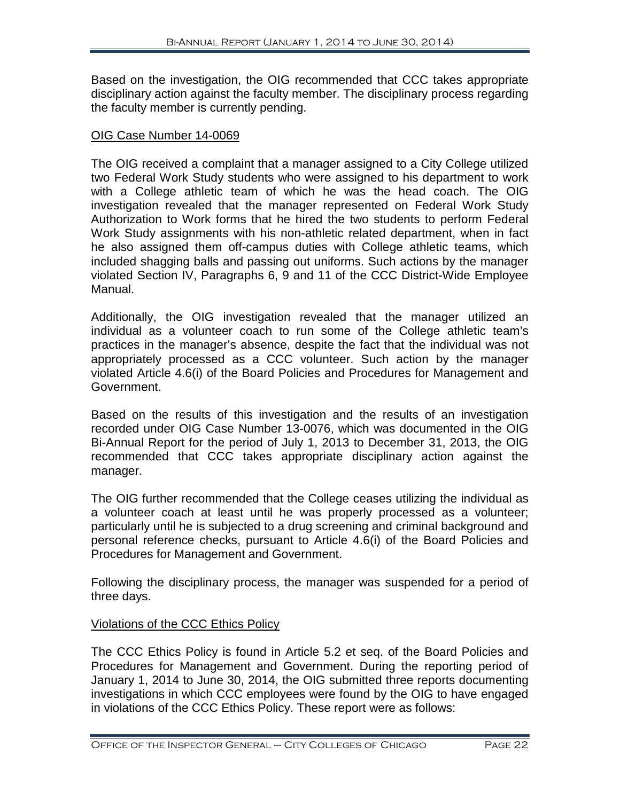Based on the investigation, the OIG recommended that CCC takes appropriate disciplinary action against the faculty member. The disciplinary process regarding the faculty member is currently pending.

#### OIG Case Number 14-0069

The OIG received a complaint that a manager assigned to a City College utilized two Federal Work Study students who were assigned to his department to work with a College athletic team of which he was the head coach. The OIG investigation revealed that the manager represented on Federal Work Study Authorization to Work forms that he hired the two students to perform Federal Work Study assignments with his non-athletic related department, when in fact he also assigned them off-campus duties with College athletic teams, which included shagging balls and passing out uniforms. Such actions by the manager violated Section IV, Paragraphs 6, 9 and 11 of the CCC District-Wide Employee Manual.

Additionally, the OIG investigation revealed that the manager utilized an individual as a volunteer coach to run some of the College athletic team's practices in the manager's absence, despite the fact that the individual was not appropriately processed as a CCC volunteer. Such action by the manager violated Article 4.6(i) of the Board Policies and Procedures for Management and Government.

Based on the results of this investigation and the results of an investigation recorded under OIG Case Number 13-0076, which was documented in the OIG Bi-Annual Report for the period of July 1, 2013 to December 31, 2013, the OIG recommended that CCC takes appropriate disciplinary action against the manager.

The OIG further recommended that the College ceases utilizing the individual as a volunteer coach at least until he was properly processed as a volunteer; particularly until he is subjected to a drug screening and criminal background and personal reference checks, pursuant to Article 4.6(i) of the Board Policies and Procedures for Management and Government.

Following the disciplinary process, the manager was suspended for a period of three days.

#### Violations of the CCC Ethics Policy

The CCC Ethics Policy is found in Article 5.2 et seq. of the Board Policies and Procedures for Management and Government. During the reporting period of January 1, 2014 to June 30, 2014, the OIG submitted three reports documenting investigations in which CCC employees were found by the OIG to have engaged in violations of the CCC Ethics Policy. These report were as follows: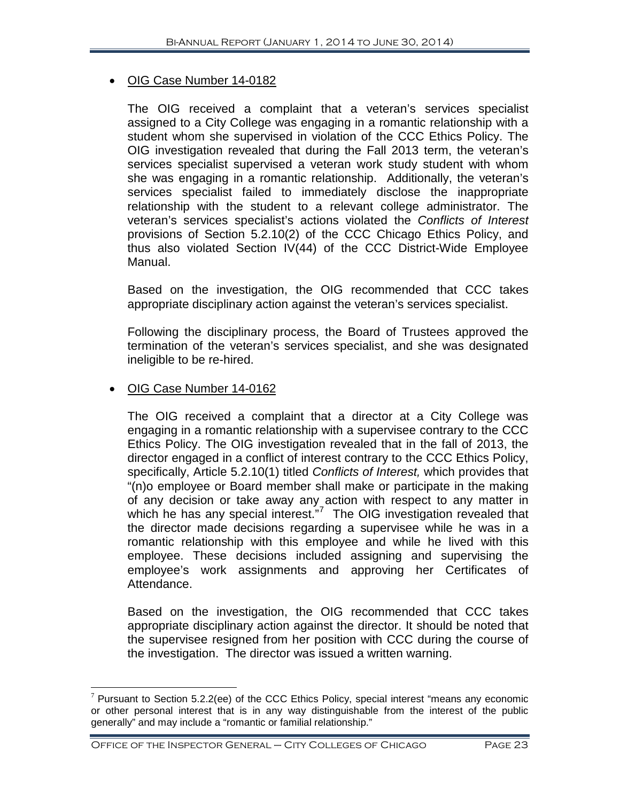#### • OIG Case Number 14-0182

The OIG received a complaint that a veteran's services specialist assigned to a City College was engaging in a romantic relationship with a student whom she supervised in violation of the CCC Ethics Policy. The OIG investigation revealed that during the Fall 2013 term, the veteran's services specialist supervised a veteran work study student with whom she was engaging in a romantic relationship. Additionally, the veteran's services specialist failed to immediately disclose the inappropriate relationship with the student to a relevant college administrator. The veteran's services specialist's actions violated the *Conflicts of Interest* provisions of Section 5.2.10(2) of the CCC Chicago Ethics Policy, and thus also violated Section IV(44) of the CCC District-Wide Employee Manual.

Based on the investigation, the OIG recommended that CCC takes appropriate disciplinary action against the veteran's services specialist.

Following the disciplinary process, the Board of Trustees approved the termination of the veteran's services specialist, and she was designated ineligible to be re-hired.

#### • OIG Case Number 14-0162

 $\overline{a}$ 

The OIG received a complaint that a director at a City College was engaging in a romantic relationship with a supervisee contrary to the CCC Ethics Policy. The OIG investigation revealed that in the fall of 2013, the director engaged in a conflict of interest contrary to the CCC Ethics Policy, specifically, Article 5.2.10(1) titled *Conflicts of Interest,* which provides that "(n)o employee or Board member shall make or participate in the making of any decision or take away any action with respect to any matter in which he has any special interest."<sup>[7](#page-24-0)</sup> The OIG investigation revealed that the director made decisions regarding a supervisee while he was in a romantic relationship with this employee and while he lived with this employee. These decisions included assigning and supervising the employee's work assignments and approving her Certificates of Attendance.

Based on the investigation, the OIG recommended that CCC takes appropriate disciplinary action against the director. It should be noted that the supervisee resigned from her position with CCC during the course of the investigation. The director was issued a written warning.

<span id="page-24-0"></span> $7$  Pursuant to Section 5.2.2(ee) of the CCC Ethics Policy, special interest "means any economic or other personal interest that is in any way distinguishable from the interest of the public generally" and may include a "romantic or familial relationship."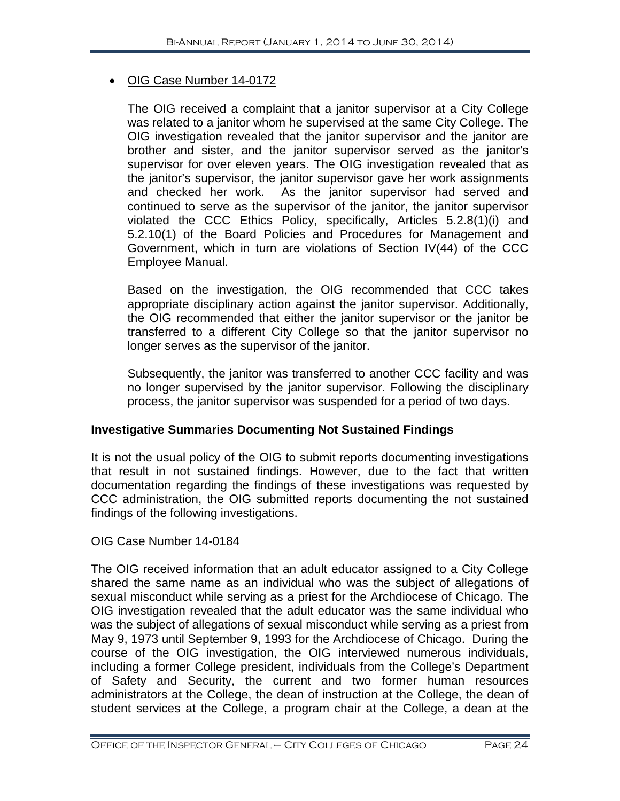#### • OIG Case Number 14-0172

The OIG received a complaint that a janitor supervisor at a City College was related to a janitor whom he supervised at the same City College. The OIG investigation revealed that the janitor supervisor and the janitor are brother and sister, and the janitor supervisor served as the janitor's supervisor for over eleven years. The OIG investigation revealed that as the janitor's supervisor, the janitor supervisor gave her work assignments and checked her work. As the janitor supervisor had served and continued to serve as the supervisor of the janitor, the janitor supervisor violated the CCC Ethics Policy, specifically, Articles 5.2.8(1)(i) and 5.2.10(1) of the Board Policies and Procedures for Management and Government, which in turn are violations of Section IV(44) of the CCC Employee Manual.

Based on the investigation, the OIG recommended that CCC takes appropriate disciplinary action against the janitor supervisor. Additionally, the OIG recommended that either the janitor supervisor or the janitor be transferred to a different City College so that the janitor supervisor no longer serves as the supervisor of the janitor.

Subsequently, the janitor was transferred to another CCC facility and was no longer supervised by the janitor supervisor. Following the disciplinary process, the janitor supervisor was suspended for a period of two days.

#### **Investigative Summaries Documenting Not Sustained Findings**

It is not the usual policy of the OIG to submit reports documenting investigations that result in not sustained findings. However, due to the fact that written documentation regarding the findings of these investigations was requested by CCC administration, the OIG submitted reports documenting the not sustained findings of the following investigations.

#### OIG Case Number 14-0184

The OIG received information that an adult educator assigned to a City College shared the same name as an individual who was the subject of allegations of sexual misconduct while serving as a priest for the Archdiocese of Chicago. The OIG investigation revealed that the adult educator was the same individual who was the subject of allegations of sexual misconduct while serving as a priest from May 9, 1973 until September 9, 1993 for the Archdiocese of Chicago. During the course of the OIG investigation, the OIG interviewed numerous individuals, including a former College president, individuals from the College's Department of Safety and Security, the current and two former human resources administrators at the College, the dean of instruction at the College, the dean of student services at the College, a program chair at the College, a dean at the